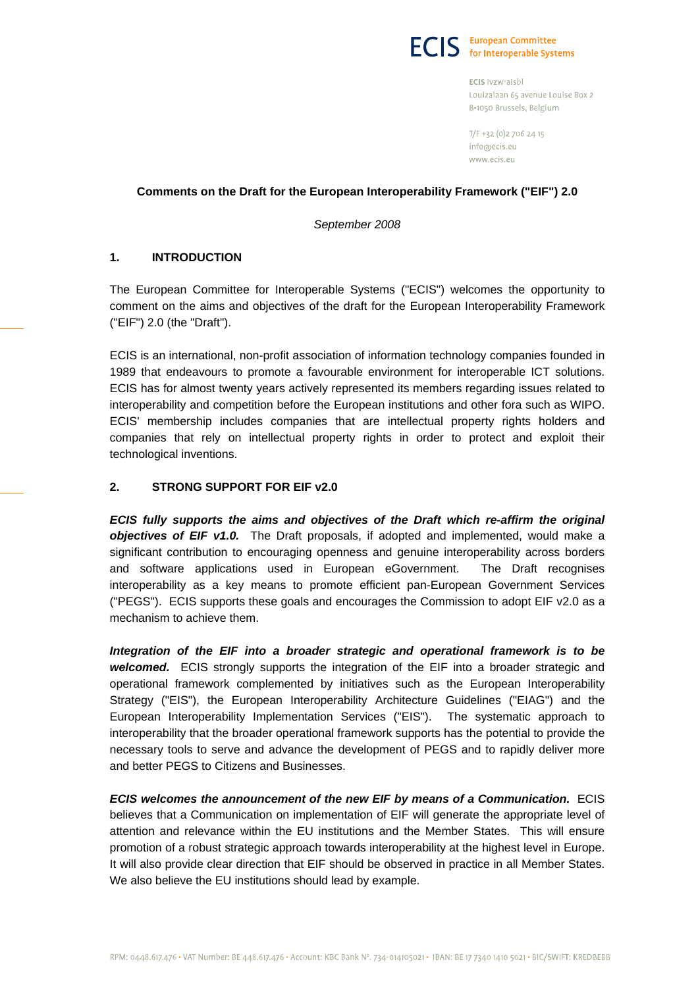

ECIS ivzw-aisbl Louizalaan 65 avenue Louise Box 2 B-1050 Brussels, Belgium

T/F +32 (0)2 706 24 15 info@ecis.eu www.ecis.eu

### **Comments on the Draft for the European Interoperability Framework ("EIF") 2.0**

*September 2008* 

# **1. INTRODUCTION**

The European Committee for Interoperable Systems ("ECIS") welcomes the opportunity to comment on the aims and objectives of the draft for the European Interoperability Framework ("EIF") 2.0 (the "Draft").

ECIS is an international, non-profit association of information technology companies founded in 1989 that endeavours to promote a favourable environment for interoperable ICT solutions. ECIS has for almost twenty years actively represented its members regarding issues related to interoperability and competition before the European institutions and other fora such as WIPO. ECIS' membership includes companies that are intellectual property rights holders and companies that rely on intellectual property rights in order to protect and exploit their technological inventions.

# **2. STRONG SUPPORT FOR EIF v2.0**

*ECIS fully supports the aims and objectives of the Draft which re-affirm the original objectives of EIF v1.0.* The Draft proposals, if adopted and implemented, would make a significant contribution to encouraging openness and genuine interoperability across borders and software applications used in European eGovernment. The Draft recognises interoperability as a key means to promote efficient pan-European Government Services ("PEGS"). ECIS supports these goals and encourages the Commission to adopt EIF v2.0 as a mechanism to achieve them.

*Integration of the EIF into a broader strategic and operational framework is to be welcomed.* ECIS strongly supports the integration of the EIF into a broader strategic and operational framework complemented by initiatives such as the European Interoperability Strategy ("EIS"), the European Interoperability Architecture Guidelines ("EIAG") and the European Interoperability Implementation Services ("EIS"). The systematic approach to interoperability that the broader operational framework supports has the potential to provide the necessary tools to serve and advance the development of PEGS and to rapidly deliver more and better PEGS to Citizens and Businesses.

*ECIS welcomes the announcement of the new EIF by means of a Communication.* ECIS believes that a Communication on implementation of EIF will generate the appropriate level of attention and relevance within the EU institutions and the Member States. This will ensure promotion of a robust strategic approach towards interoperability at the highest level in Europe. It will also provide clear direction that EIF should be observed in practice in all Member States. We also believe the EU institutions should lead by example.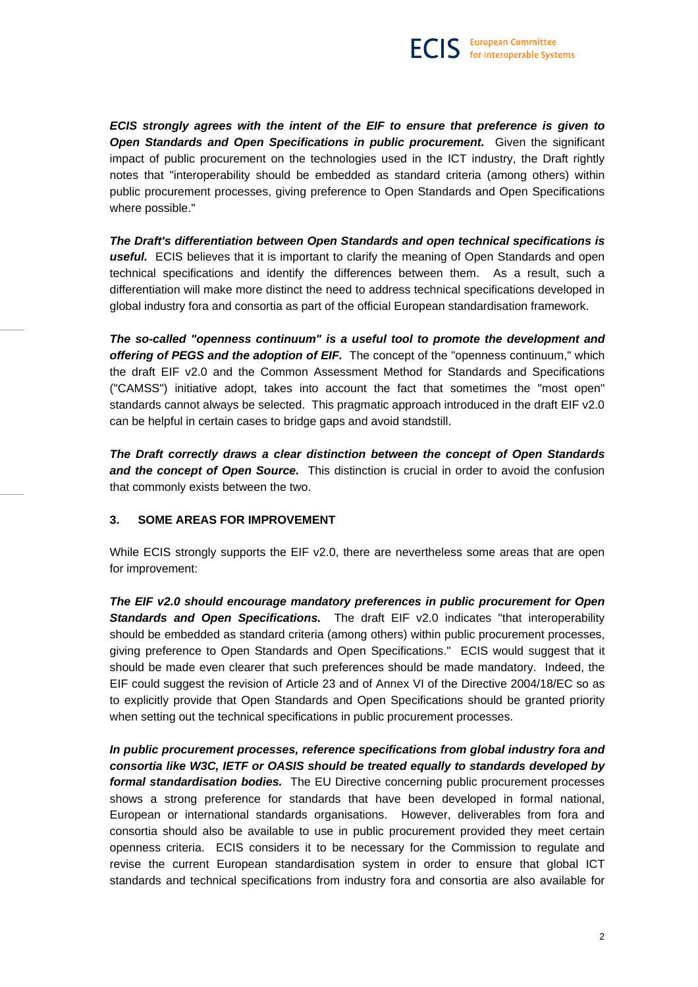*ECIS strongly agrees with the intent of the EIF to ensure that preference is given to*  **Open Standards and Open Specifications in public procurement.** Given the significant impact of public procurement on the technologies used in the ICT industry, the Draft rightly notes that "interoperability should be embedded as standard criteria (among others) within public procurement processes, giving preference to Open Standards and Open Specifications where possible."

*The Draft's differentiation between Open Standards and open technical specifications is useful.*ECIS believes that it is important to clarify the meaning of Open Standards and open technical specifications and identify the differences between them. As a result, such a differentiation will make more distinct the need to address technical specifications developed in global industry fora and consortia as part of the official European standardisation framework.

*The so-called "openness continuum" is a useful tool to promote the development and offering of PEGS and the adoption of EIF.*The concept of the "openness continuum," which the draft EIF v2.0 and the Common Assessment Method for Standards and Specifications ("CAMSS") initiative adopt, takes into account the fact that sometimes the "most open" standards cannot always be selected. This pragmatic approach introduced in the draft EIF v2.0 can be helpful in certain cases to bridge gaps and avoid standstill.

*The Draft correctly draws a clear distinction between the concept of Open Standards*  **and the concept of Open Source.** This distinction is crucial in order to avoid the confusion that commonly exists between the two.

# **3. SOME AREAS FOR IMPROVEMENT**

While ECIS strongly supports the EIF v2.0, there are nevertheless some areas that are open for improvement:

*The EIF v2.0 should encourage mandatory preferences in public procurement for Open*  **Standards and Open Specifications.** The draft EIF v2.0 indicates "that interoperability should be embedded as standard criteria (among others) within public procurement processes, giving preference to Open Standards and Open Specifications." ECIS would suggest that it should be made even clearer that such preferences should be made mandatory. Indeed, the EIF could suggest the revision of Article 23 and of Annex VI of the Directive 2004/18/EC so as to explicitly provide that Open Standards and Open Specifications should be granted priority when setting out the technical specifications in public procurement processes.

*In public procurement processes, reference specifications from global industry fora and consortia like W3C, IETF or OASIS should be treated equally to standards developed by formal standardisation bodies.* The EU Directive concerning public procurement processes shows a strong preference for standards that have been developed in formal national, European or international standards organisations. However, deliverables from fora and consortia should also be available to use in public procurement provided they meet certain openness criteria. ECIS considers it to be necessary for the Commission to regulate and revise the current European standardisation system in order to ensure that global ICT standards and technical specifications from industry fora and consortia are also available for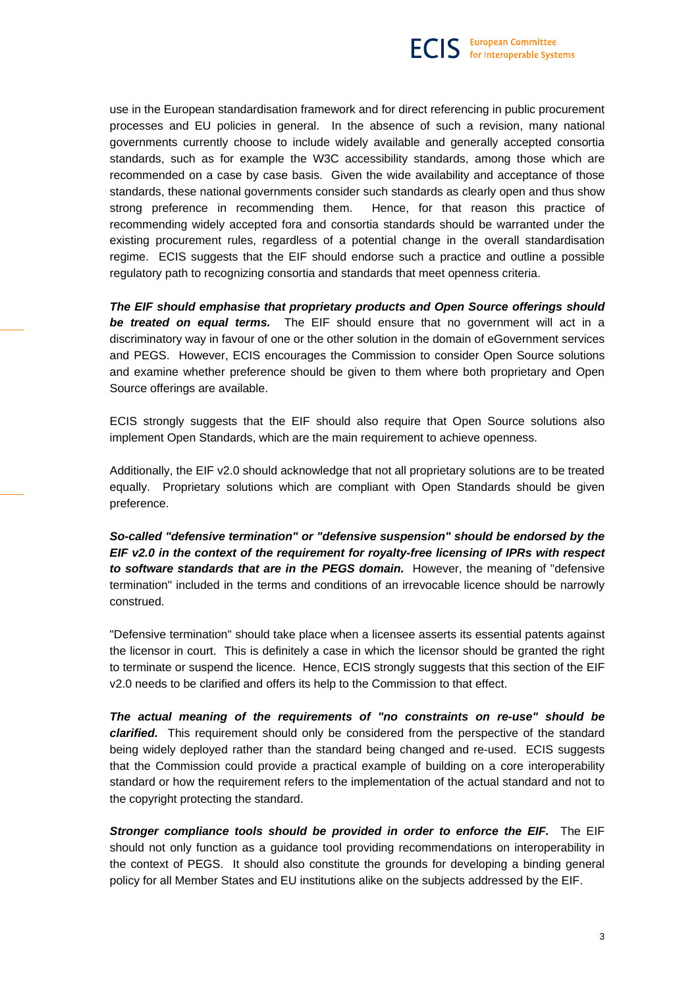use in the European standardisation framework and for direct referencing in public procurement processes and EU policies in general. In the absence of such a revision, many national governments currently choose to include widely available and generally accepted consortia standards, such as for example the W3C accessibility standards, among those which are recommended on a case by case basis. Given the wide availability and acceptance of those standards, these national governments consider such standards as clearly open and thus show strong preference in recommending them. Hence, for that reason this practice of recommending widely accepted fora and consortia standards should be warranted under the existing procurement rules, regardless of a potential change in the overall standardisation regime. ECIS suggests that the EIF should endorse such a practice and outline a possible regulatory path to recognizing consortia and standards that meet openness criteria.

*The EIF should emphasise that proprietary products and Open Source offerings should be treated on equal terms.* The EIF should ensure that no government will act in a discriminatory way in favour of one or the other solution in the domain of eGovernment services and PEGS. However, ECIS encourages the Commission to consider Open Source solutions and examine whether preference should be given to them where both proprietary and Open Source offerings are available.

ECIS strongly suggests that the EIF should also require that Open Source solutions also implement Open Standards, which are the main requirement to achieve openness.

Additionally, the EIF v2.0 should acknowledge that not all proprietary solutions are to be treated equally. Proprietary solutions which are compliant with Open Standards should be given preference.

*So-called "defensive termination" or "defensive suspension" should be endorsed by the EIF v2.0 in the context of the requirement for royalty-free licensing of IPRs with respect to software standards that are in the PEGS domain.* However, the meaning of "defensive termination" included in the terms and conditions of an irrevocable licence should be narrowly construed.

"Defensive termination" should take place when a licensee asserts its essential patents against the licensor in court. This is definitely a case in which the licensor should be granted the right to terminate or suspend the licence. Hence, ECIS strongly suggests that this section of the EIF v2.0 needs to be clarified and offers its help to the Commission to that effect.

*The actual meaning of the requirements of "no constraints on re-use" should be clarified.*This requirement should only be considered from the perspective of the standard being widely deployed rather than the standard being changed and re-used. ECIS suggests that the Commission could provide a practical example of building on a core interoperability standard or how the requirement refers to the implementation of the actual standard and not to the copyright protecting the standard.

*Stronger compliance tools should be provided in order to enforce the EIF.* The EIF should not only function as a guidance tool providing recommendations on interoperability in the context of PEGS. It should also constitute the grounds for developing a binding general policy for all Member States and EU institutions alike on the subjects addressed by the EIF.